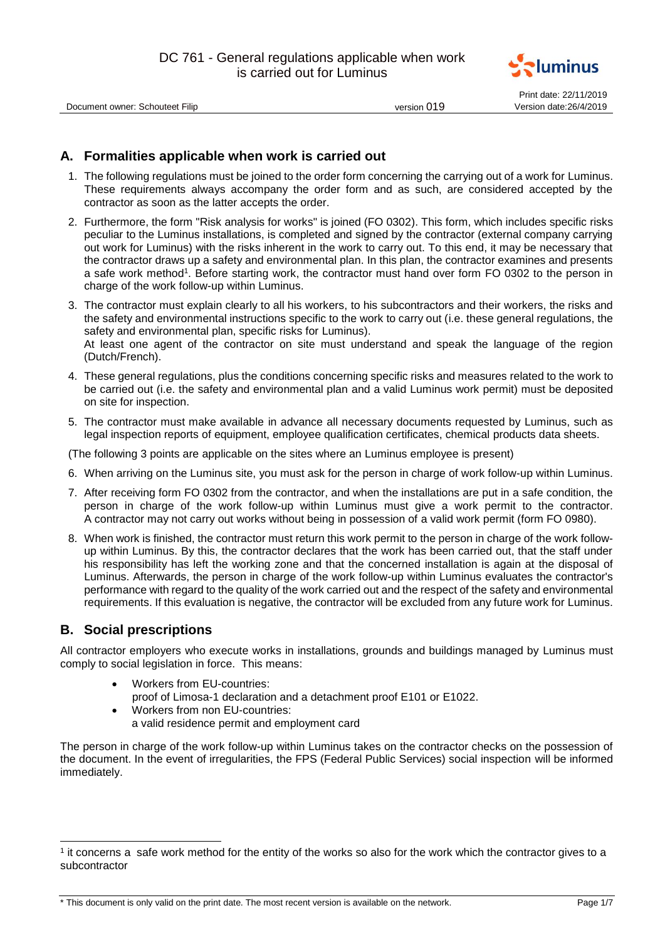

Print date: 22/11/2019

Document owner: Schouteet Filip version 019

# **A. Formalities applicable when work is carried out**

- 1. The following regulations must be joined to the order form concerning the carrying out of a work for Luminus. These requirements always accompany the order form and as such, are considered accepted by the contractor as soon as the latter accepts the order.
- 2. Furthermore, the form "Risk analysis for works" is joined (FO 0302). This form, which includes specific risks peculiar to the Luminus installations, is completed and signed by the contractor (external company carrying out work for Luminus) with the risks inherent in the work to carry out. To this end, it may be necessary that the contractor draws up a safety and environmental plan. In this plan, the contractor examines and presents a safe work method<sup>1</sup>. Before starting work, the contractor must hand over form FO 0302 to the person in charge of the work follow-up within Luminus.
- 3. The contractor must explain clearly to all his workers, to his subcontractors and their workers, the risks and the safety and environmental instructions specific to the work to carry out (i.e. these general regulations, the safety and environmental plan, specific risks for Luminus). At least one agent of the contractor on site must understand and speak the language of the region (Dutch/French).
- 4. These general regulations, plus the conditions concerning specific risks and measures related to the work to be carried out (i.e. the safety and environmental plan and a valid Luminus work permit) must be deposited on site for inspection.
- 5. The contractor must make available in advance all necessary documents requested by Luminus, such as legal inspection reports of equipment, employee qualification certificates, chemical products data sheets.

(The following 3 points are applicable on the sites where an Luminus employee is present)

- 6. When arriving on the Luminus site, you must ask for the person in charge of work follow-up within Luminus.
- 7. After receiving form FO 0302 from the contractor, and when the installations are put in a safe condition, the person in charge of the work follow-up within Luminus must give a work permit to the contractor. A contractor may not carry out works without being in possession of a valid work permit (form FO 0980).
- 8. When work is finished, the contractor must return this work permit to the person in charge of the work followup within Luminus. By this, the contractor declares that the work has been carried out, that the staff under his responsibility has left the working zone and that the concerned installation is again at the disposal of Luminus. Afterwards, the person in charge of the work follow-up within Luminus evaluates the contractor's performance with regard to the quality of the work carried out and the respect of the safety and environmental requirements. If this evaluation is negative, the contractor will be excluded from any future work for Luminus.

# **B. Social prescriptions**

1

All contractor employers who execute works in installations, grounds and buildings managed by Luminus must comply to social legislation in force. This means:

- Workers from EU-countries: proof of Limosa-1 declaration and a detachment proof E101 or E1022.
- Workers from non EU-countries: a valid residence permit and employment card

The person in charge of the work follow-up within Luminus takes on the contractor checks on the possession of the document. In the event of irregularities, the FPS (Federal Public Services) social inspection will be informed immediately.

<sup>1</sup> it concerns a safe work method for the entity of the works so also for the work which the contractor gives to a subcontractor

<sup>\*</sup> This document is only valid on the print date. The most recent version is available on the network. Page 1/7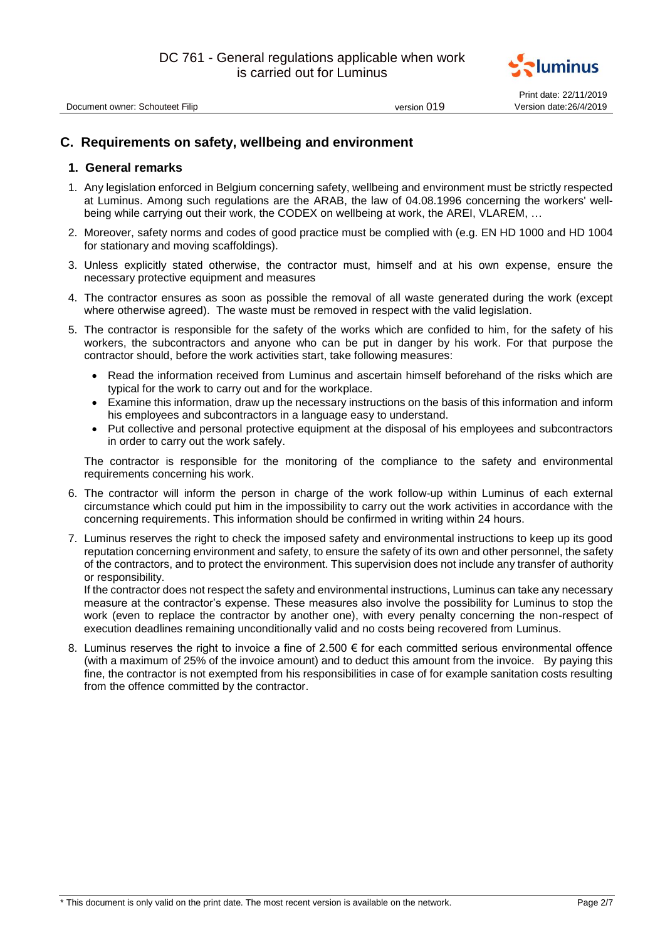

Document owner: Schouteet Filip version 019

Print date: 22/11/2019

# **C. Requirements on safety, wellbeing and environment**

## **1. General remarks**

- 1. Any legislation enforced in Belgium concerning safety, wellbeing and environment must be strictly respected at Luminus. Among such regulations are the ARAB, the law of 04.08.1996 concerning the workers' wellbeing while carrying out their work, the CODEX on wellbeing at work, the AREI, VLAREM, …
- 2. Moreover, safety norms and codes of good practice must be complied with (e.g. EN HD 1000 and HD 1004 for stationary and moving scaffoldings).
- 3. Unless explicitly stated otherwise, the contractor must, himself and at his own expense, ensure the necessary protective equipment and measures
- 4. The contractor ensures as soon as possible the removal of all waste generated during the work (except where otherwise agreed). The waste must be removed in respect with the valid legislation.
- 5. The contractor is responsible for the safety of the works which are confided to him, for the safety of his workers, the subcontractors and anyone who can be put in danger by his work. For that purpose the contractor should, before the work activities start, take following measures:
	- Read the information received from Luminus and ascertain himself beforehand of the risks which are typical for the work to carry out and for the workplace.
	- Examine this information, draw up the necessary instructions on the basis of this information and inform his employees and subcontractors in a language easy to understand.
	- Put collective and personal protective equipment at the disposal of his employees and subcontractors in order to carry out the work safely.

The contractor is responsible for the monitoring of the compliance to the safety and environmental requirements concerning his work.

- 6. The contractor will inform the person in charge of the work follow-up within Luminus of each external circumstance which could put him in the impossibility to carry out the work activities in accordance with the concerning requirements. This information should be confirmed in writing within 24 hours.
- 7. Luminus reserves the right to check the imposed safety and environmental instructions to keep up its good reputation concerning environment and safety, to ensure the safety of its own and other personnel, the safety of the contractors, and to protect the environment. This supervision does not include any transfer of authority or responsibility.

If the contractor does not respect the safety and environmental instructions, Luminus can take any necessary measure at the contractor's expense. These measures also involve the possibility for Luminus to stop the work (even to replace the contractor by another one), with every penalty concerning the non-respect of execution deadlines remaining unconditionally valid and no costs being recovered from Luminus.

8. Luminus reserves the right to invoice a fine of 2.500  $\epsilon$  for each committed serious environmental offence (with a maximum of 25% of the invoice amount) and to deduct this amount from the invoice. By paying this fine, the contractor is not exempted from his responsibilities in case of for example sanitation costs resulting from the offence committed by the contractor.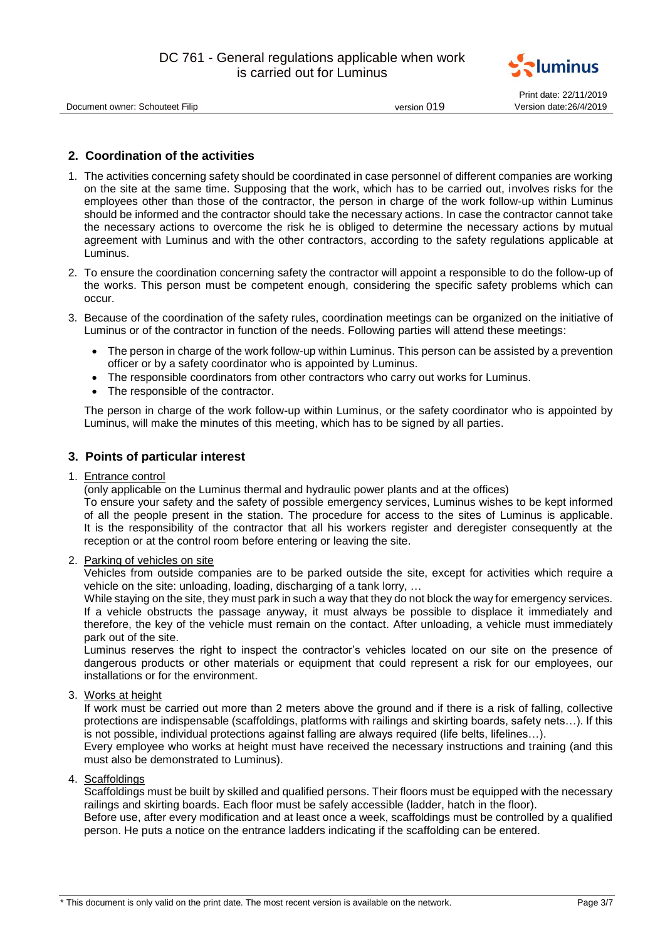

| Document owner: Schouteet Filip |  |
|---------------------------------|--|
|                                 |  |

Print date: 22/11/2019 version 019 Version date: 26/4/2019

# **2. Coordination of the activities**

- 1. The activities concerning safety should be coordinated in case personnel of different companies are working on the site at the same time. Supposing that the work, which has to be carried out, involves risks for the employees other than those of the contractor, the person in charge of the work follow-up within Luminus should be informed and the contractor should take the necessary actions. In case the contractor cannot take the necessary actions to overcome the risk he is obliged to determine the necessary actions by mutual agreement with Luminus and with the other contractors, according to the safety regulations applicable at Luminus.
- 2. To ensure the coordination concerning safety the contractor will appoint a responsible to do the follow-up of the works. This person must be competent enough, considering the specific safety problems which can occur.
- 3. Because of the coordination of the safety rules, coordination meetings can be organized on the initiative of Luminus or of the contractor in function of the needs. Following parties will attend these meetings:
	- The person in charge of the work follow-up within Luminus. This person can be assisted by a prevention officer or by a safety coordinator who is appointed by Luminus.
	- The responsible coordinators from other contractors who carry out works for Luminus.
	- The responsible of the contractor.

The person in charge of the work follow-up within Luminus, or the safety coordinator who is appointed by Luminus, will make the minutes of this meeting, which has to be signed by all parties.

## **3. Points of particular interest**

1. Entrance control

(only applicable on the Luminus thermal and hydraulic power plants and at the offices)

To ensure your safety and the safety of possible emergency services, Luminus wishes to be kept informed of all the people present in the station. The procedure for access to the sites of Luminus is applicable. It is the responsibility of the contractor that all his workers register and deregister consequently at the reception or at the control room before entering or leaving the site.

## 2. Parking of vehicles on site

Vehicles from outside companies are to be parked outside the site, except for activities which require a vehicle on the site: unloading, loading, discharging of a tank lorry, …

While staying on the site, they must park in such a way that they do not block the way for emergency services. If a vehicle obstructs the passage anyway, it must always be possible to displace it immediately and therefore, the key of the vehicle must remain on the contact. After unloading, a vehicle must immediately park out of the site.

Luminus reserves the right to inspect the contractor's vehicles located on our site on the presence of dangerous products or other materials or equipment that could represent a risk for our employees, our installations or for the environment.

## 3. Works at height

If work must be carried out more than 2 meters above the ground and if there is a risk of falling, collective protections are indispensable (scaffoldings, platforms with railings and skirting boards, safety nets…). If this is not possible, individual protections against falling are always required (life belts, lifelines…).

Every employee who works at height must have received the necessary instructions and training (and this must also be demonstrated to Luminus).

4. Scaffoldings

Scaffoldings must be built by skilled and qualified persons. Their floors must be equipped with the necessary railings and skirting boards. Each floor must be safely accessible (ladder, hatch in the floor).

Before use, after every modification and at least once a week, scaffoldings must be controlled by a qualified person. He puts a notice on the entrance ladders indicating if the scaffolding can be entered.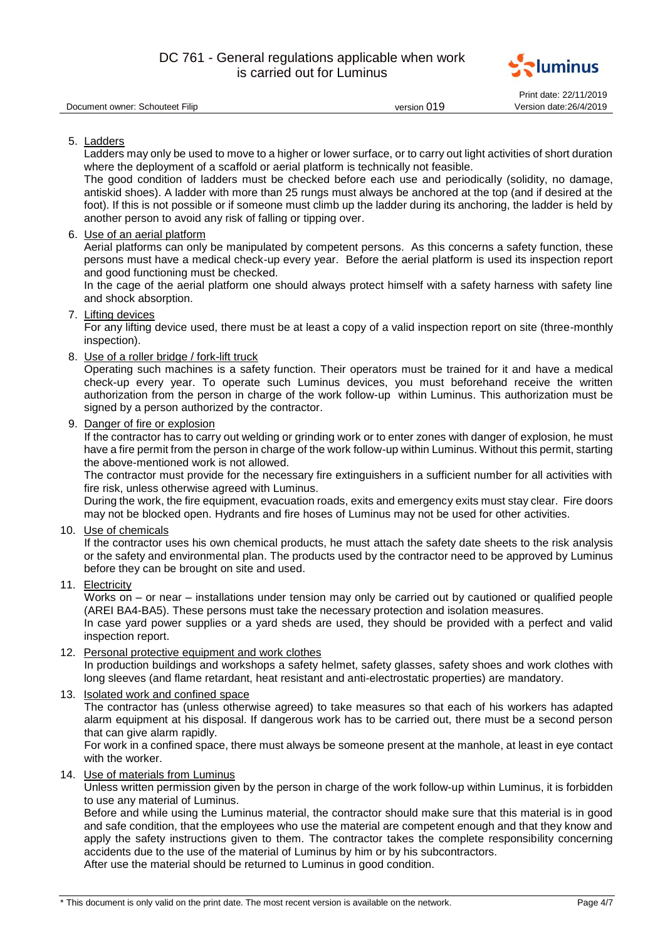

|                                 |             | Print date: 22/11/2019  |
|---------------------------------|-------------|-------------------------|
| Document owner: Schouteet Filip | version 019 | Version date: 26/4/2019 |

5. Ladders

Ladders may only be used to move to a higher or lower surface, or to carry out light activities of short duration where the deployment of a scaffold or aerial platform is technically not feasible.

The good condition of ladders must be checked before each use and periodically (solidity, no damage, antiskid shoes). A ladder with more than 25 rungs must always be anchored at the top (and if desired at the foot). If this is not possible or if someone must climb up the ladder during its anchoring, the ladder is held by another person to avoid any risk of falling or tipping over.

6. Use of an aerial platform

Aerial platforms can only be manipulated by competent persons. As this concerns a safety function, these persons must have a medical check-up every year. Before the aerial platform is used its inspection report and good functioning must be checked.

In the cage of the aerial platform one should always protect himself with a safety harness with safety line and shock absorption.

# 7. Lifting devices

For any lifting device used, there must be at least a copy of a valid inspection report on site (three-monthly inspection).

8. Use of a roller bridge / fork-lift truck

Operating such machines is a safety function. Their operators must be trained for it and have a medical check-up every year. To operate such Luminus devices, you must beforehand receive the written authorization from the person in charge of the work follow-up within Luminus. This authorization must be signed by a person authorized by the contractor.

9. Danger of fire or explosion

If the contractor has to carry out welding or grinding work or to enter zones with danger of explosion, he must have a fire permit from the person in charge of the work follow-up within Luminus. Without this permit, starting the above-mentioned work is not allowed.

The contractor must provide for the necessary fire extinguishers in a sufficient number for all activities with fire risk, unless otherwise agreed with Luminus.

During the work, the fire equipment, evacuation roads, exits and emergency exits must stay clear. Fire doors may not be blocked open. Hydrants and fire hoses of Luminus may not be used for other activities.

10. Use of chemicals

If the contractor uses his own chemical products, he must attach the safety date sheets to the risk analysis or the safety and environmental plan. The products used by the contractor need to be approved by Luminus before they can be brought on site and used.

11. Electricity

Works on – or near – installations under tension may only be carried out by cautioned or qualified people (AREI BA4-BA5). These persons must take the necessary protection and isolation measures.

In case yard power supplies or a yard sheds are used, they should be provided with a perfect and valid inspection report.

12. Personal protective equipment and work clothes

In production buildings and workshops a safety helmet, safety glasses, safety shoes and work clothes with long sleeves (and flame retardant, heat resistant and anti-electrostatic properties) are mandatory.

13. Isolated work and confined space

The contractor has (unless otherwise agreed) to take measures so that each of his workers has adapted alarm equipment at his disposal. If dangerous work has to be carried out, there must be a second person that can give alarm rapidly.

For work in a confined space, there must always be someone present at the manhole, at least in eye contact with the worker.

14. Use of materials from Luminus

Unless written permission given by the person in charge of the work follow-up within Luminus, it is forbidden to use any material of Luminus.

Before and while using the Luminus material, the contractor should make sure that this material is in good and safe condition, that the employees who use the material are competent enough and that they know and apply the safety instructions given to them. The contractor takes the complete responsibility concerning accidents due to the use of the material of Luminus by him or by his subcontractors.

After use the material should be returned to Luminus in good condition.

<sup>\*</sup> This document is only valid on the print date. The most recent version is available on the network. Page 4/7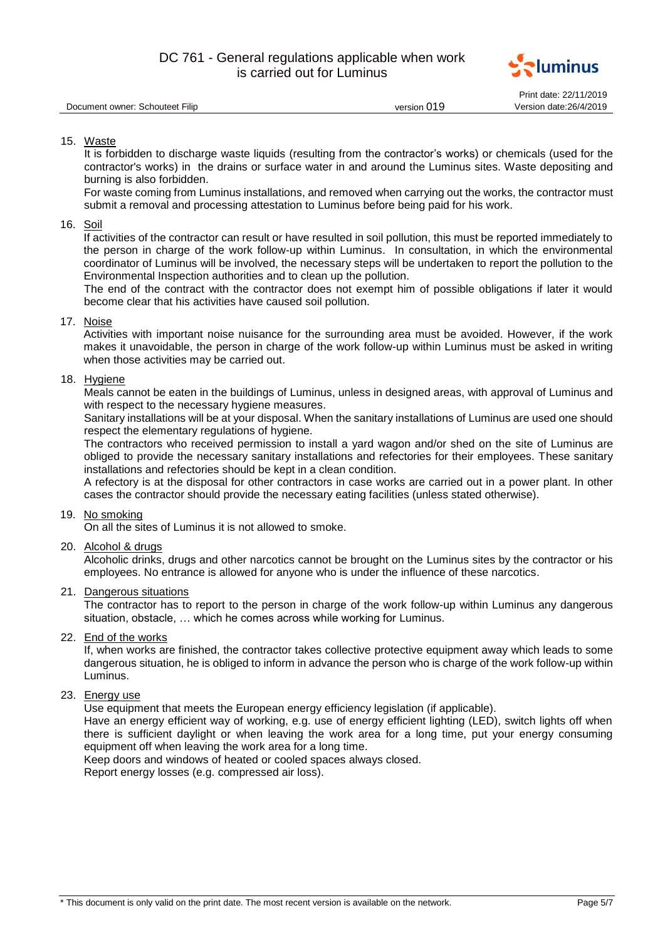

|                                 |             | Print date: 22/11/2019  |
|---------------------------------|-------------|-------------------------|
| Document owner: Schouteet Filip | version 019 | Version date: 26/4/2019 |

## 15. Waste

It is forbidden to discharge waste liquids (resulting from the contractor's works) or chemicals (used for the contractor's works) in the drains or surface water in and around the Luminus sites. Waste depositing and burning is also forbidden.

For waste coming from Luminus installations, and removed when carrying out the works, the contractor must submit a removal and processing attestation to Luminus before being paid for his work.

## 16. Soil

If activities of the contractor can result or have resulted in soil pollution, this must be reported immediately to the person in charge of the work follow-up within Luminus. In consultation, in which the environmental coordinator of Luminus will be involved, the necessary steps will be undertaken to report the pollution to the Environmental Inspection authorities and to clean up the pollution.

The end of the contract with the contractor does not exempt him of possible obligations if later it would become clear that his activities have caused soil pollution.

## 17. Noise

Activities with important noise nuisance for the surrounding area must be avoided. However, if the work makes it unavoidable, the person in charge of the work follow-up within Luminus must be asked in writing when those activities may be carried out.

## 18. Hygiene

Meals cannot be eaten in the buildings of Luminus, unless in designed areas, with approval of Luminus and with respect to the necessary hygiene measures.

Sanitary installations will be at your disposal. When the sanitary installations of Luminus are used one should respect the elementary regulations of hygiene.

The contractors who received permission to install a yard wagon and/or shed on the site of Luminus are obliged to provide the necessary sanitary installations and refectories for their employees. These sanitary installations and refectories should be kept in a clean condition.

A refectory is at the disposal for other contractors in case works are carried out in a power plant. In other cases the contractor should provide the necessary eating facilities (unless stated otherwise).

## 19. No smoking

On all the sites of Luminus it is not allowed to smoke.

## 20. Alcohol & drugs

Alcoholic drinks, drugs and other narcotics cannot be brought on the Luminus sites by the contractor or his employees. No entrance is allowed for anyone who is under the influence of these narcotics.

## 21. Dangerous situations

The contractor has to report to the person in charge of the work follow-up within Luminus any dangerous situation, obstacle, … which he comes across while working for Luminus.

# 22. End of the works

If, when works are finished, the contractor takes collective protective equipment away which leads to some dangerous situation, he is obliged to inform in advance the person who is charge of the work follow-up within Luminus.

## 23. Energy use

Use equipment that meets the European energy efficiency legislation (if applicable).

Have an energy efficient way of working, e.g. use of energy efficient lighting (LED), switch lights off when there is sufficient daylight or when leaving the work area for a long time, put your energy consuming equipment off when leaving the work area for a long time.

Keep doors and windows of heated or cooled spaces always closed.

Report energy losses (e.g. compressed air loss).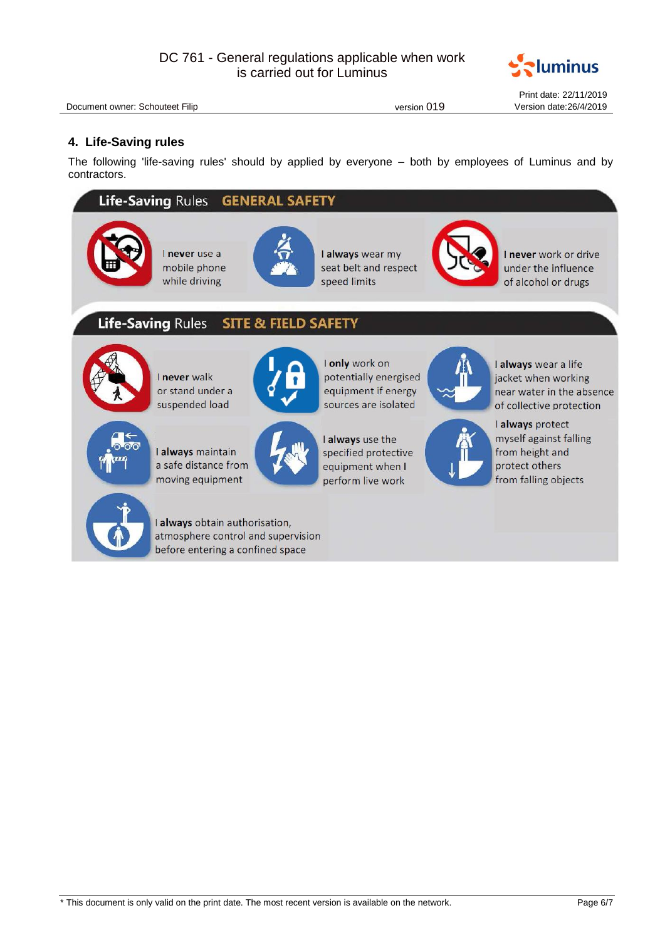

Document owner: Schouteet Filip version 019 version 019

Print date: 22/11/2019

# **4. Life-Saving rules**

The following 'life-saving rules' should by applied by everyone – both by employees of Luminus and by contractors.

#### Life-Saving Rules **GENERAL SAFETY**







I always wear my seat belt and respect speed limits



I never work or drive under the influence of alcohol or drugs

#### **Life-Saving Rules SITE & FIELD SAFETY**



I never walk or stand under a suspended load



I only work on potentially energised equipment if energy sources are isolated



I always wear a life jacket when working near water in the absence of collective protection



I always maintain a safe distance from moving equipment



I always use the specified protective equipment when I perform live work

I always protect myself against falling from height and protect others from falling objects



I always obtain authorisation, atmosphere control and supervision before entering a confined space